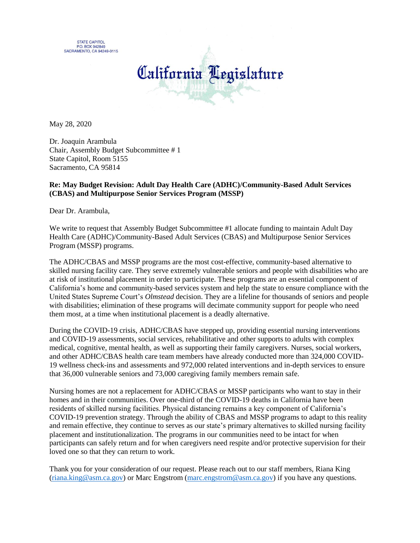**STATE CAPITOL P.O. BOX 942849** SACRAMENTO, CA 94249-0115



May 28, 2020

Dr. Joaquin Arambula Chair, Assembly Budget Subcommittee # 1 State Capitol, Room 5155 Sacramento, CA 95814

## **Re: May Budget Revision: Adult Day Health Care (ADHC)/Community-Based Adult Services (CBAS) and Multipurpose Senior Services Program (MSSP)**

Dear Dr. Arambula,

We write to request that Assembly Budget Subcommittee #1 allocate funding to maintain Adult Day Health Care (ADHC)/Community-Based Adult Services (CBAS) and Multipurpose Senior Services Program (MSSP) programs.

The ADHC/CBAS and MSSP programs are the most cost-effective, community-based alternative to skilled nursing facility care. They serve extremely vulnerable seniors and people with disabilities who are at risk of institutional placement in order to participate. These programs are an essential component of California's home and community-based services system and help the state to ensure compliance with the United States Supreme Court's *Olmstead* decision. They are a lifeline for thousands of seniors and people with disabilities; elimination of these programs will decimate community support for people who need them most, at a time when institutional placement is a deadly alternative.

During the COVID-19 crisis, ADHC/CBAS have stepped up, providing essential nursing interventions and COVID-19 assessments, social services, rehabilitative and other supports to adults with complex medical, cognitive, mental health, as well as supporting their family caregivers. Nurses, social workers, and other ADHC/CBAS health care team members have already conducted more than 324,000 COVID-19 wellness check-ins and assessments and 972,000 related interventions and in-depth services to ensure that 36,000 vulnerable seniors and 73,000 caregiving family members remain safe.

Nursing homes are not a replacement for ADHC/CBAS or MSSP participants who want to stay in their homes and in their communities. Over one-third of the COVID-19 deaths in California have been residents of skilled nursing facilities. Physical distancing remains a key component of California's COVID-19 prevention strategy. Through the ability of CBAS and MSSP programs to adapt to this reality and remain effective, they continue to serves as our state's primary alternatives to skilled nursing facility placement and institutionalization. The programs in our communities need to be intact for when participants can safely return and for when caregivers need respite and/or protective supervision for their loved one so that they can return to work.

Thank you for your consideration of our request. Please reach out to our staff members, Riana King [\(riana.king@asm.ca.gov\)](mailto:riana.king@asm.ca.gov) or Marc Engstrom [\(marc.engstrom@asm.ca.gov\)](mailto:marc.engstrom@asm.ca.gov) if you have any questions.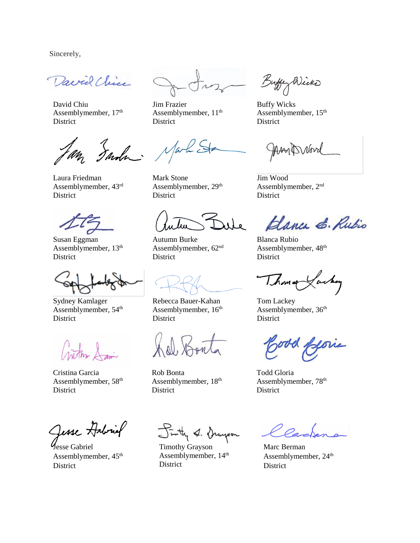Sincerely,

David Chice

David Chiu Assemblymember,  $17<sup>th</sup>$ District

Inda

Laura Friedman Assemblymember, 43rd District

Susan Eggman Assemblymember,  $13<sup>th</sup>$ **District** 

Sydney Kamlager Assemblymember, 54<sup>th</sup> **District** 

Critism Sam

Cristina Garcia Assemblymember, 58th District

Jesse Habriel

Jesse Gabriel Assemblymember,  $45<sup>th</sup>$ District

Jim Frazier Assemblymember,  $11<sup>th</sup>$ District

Mark

Mark Stone Assemblymember, 29<sup>th</sup> **District** 

iile

Autumn Burke Assemblymember, 62nd **District** 

Rebecca Bauer-Kahan Assemblymember,  $16<sup>th</sup>$ **District** 

al, Son

Rob Bonta Assemblymember,  $18<sup>th</sup>$ **District** 

Finty & Grayson

Timothy Grayson Assemblymember,  $14<sup>th</sup>$ **District** 

Buffey Wicker

Buffy Wicks Assemblymember, 15th District

ManDrovel

Jim Wood Assemblymember, 2nd District

Blanca E. Rubio

Blanca Rubio Assemblymember, 48th District

Thomas Lackey

Tom Lackey Assemblymember, 36th District

Jood filorie

Todd Gloria Assemblymember, 78th **District** 

Marc Berman Assemblymember, 24<sup>th</sup> District